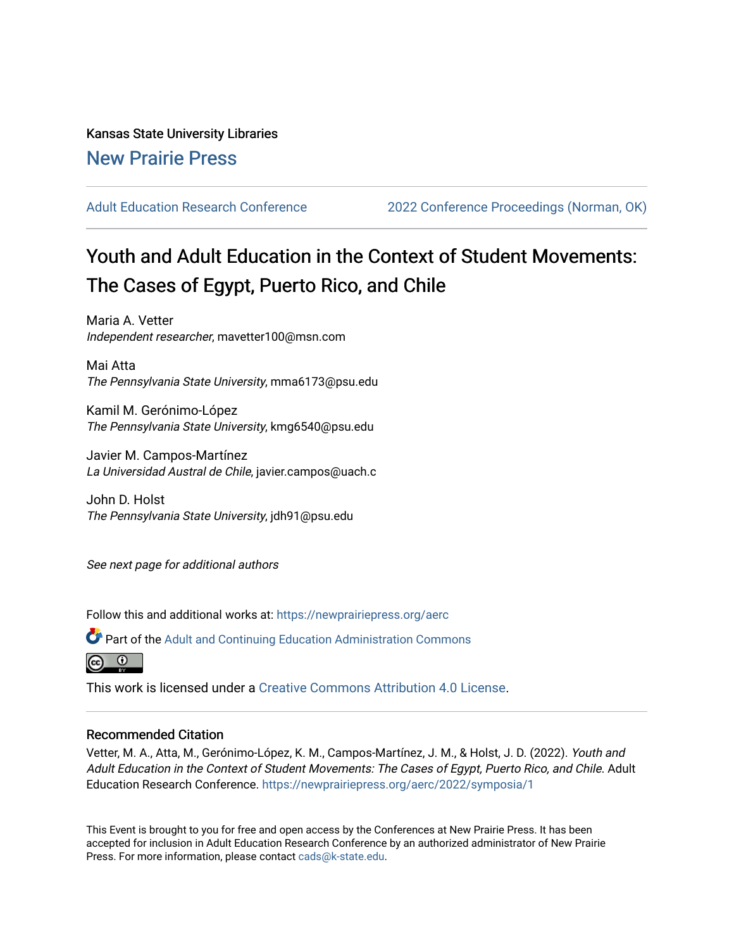# Kansas State University Libraries [New Prairie Press](https://newprairiepress.org/)

[Adult Education Research Conference](https://newprairiepress.org/aerc) [2022 Conference Proceedings \(Norman, OK\)](https://newprairiepress.org/aerc/2022) 

# Youth and Adult Education in the Context of Student Movements: The Cases of Egypt, Puerto Rico, and Chile

Maria A. Vetter Independent researcher, mavetter100@msn.com

Mai Atta The Pennsylvania State University, mma6173@psu.edu

Kamil M. Gerónimo-López The Pennsylvania State University, kmg6540@psu.edu

Javier M. Campos-Martínez La Universidad Austral de Chile, javier.campos@uach.c

John D. Holst The Pennsylvania State University, jdh91@psu.edu

See next page for additional authors

Follow this and additional works at: [https://newprairiepress.org/aerc](https://newprairiepress.org/aerc?utm_source=newprairiepress.org%2Faerc%2F2022%2Fsymposia%2F1&utm_medium=PDF&utm_campaign=PDFCoverPages)

Part of the [Adult and Continuing Education Administration Commons](https://network.bepress.com/hgg/discipline/789?utm_source=newprairiepress.org%2Faerc%2F2022%2Fsymposia%2F1&utm_medium=PDF&utm_campaign=PDFCoverPages)



This work is licensed under a [Creative Commons Attribution 4.0 License](https://creativecommons.org/licenses/by/4.0/).

# Recommended Citation

Vetter, M. A., Atta, M., Gerónimo-López, K. M., Campos-Martínez, J. M., & Holst, J. D. (2022). Youth and Adult Education in the Context of Student Movements: The Cases of Egypt, Puerto Rico, and Chile. Adult Education Research Conference. <https://newprairiepress.org/aerc/2022/symposia/1>

This Event is brought to you for free and open access by the Conferences at New Prairie Press. It has been accepted for inclusion in Adult Education Research Conference by an authorized administrator of New Prairie Press. For more information, please contact [cads@k-state.edu.](mailto:cads@k-state.edu)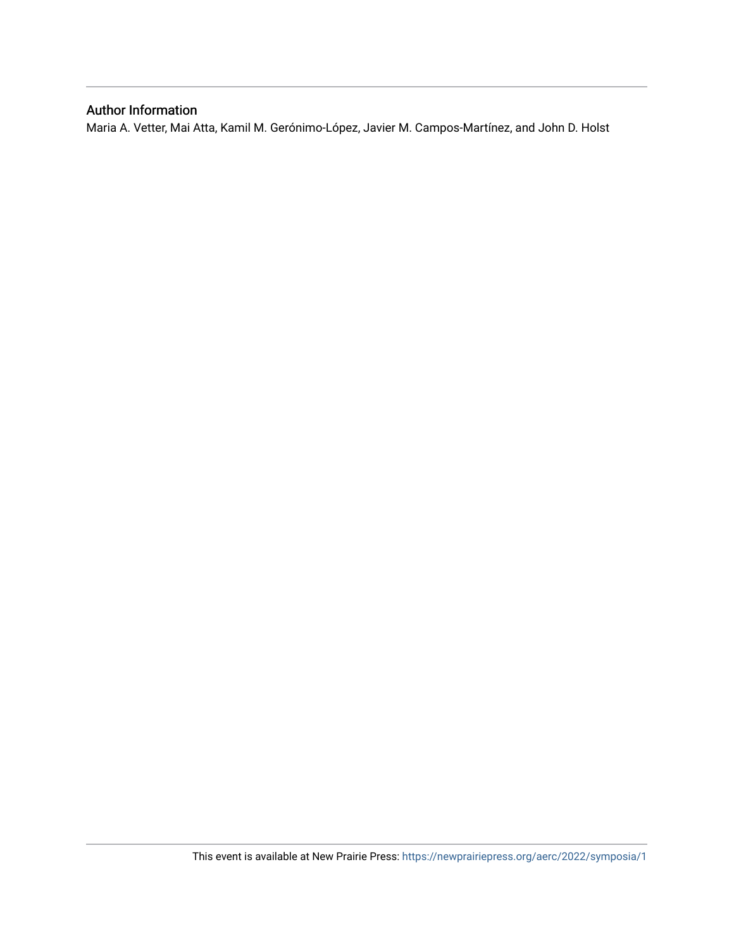# Author Information

Maria A. Vetter, Mai Atta, Kamil M. Gerónimo-López, Javier M. Campos-Martínez, and John D. Holst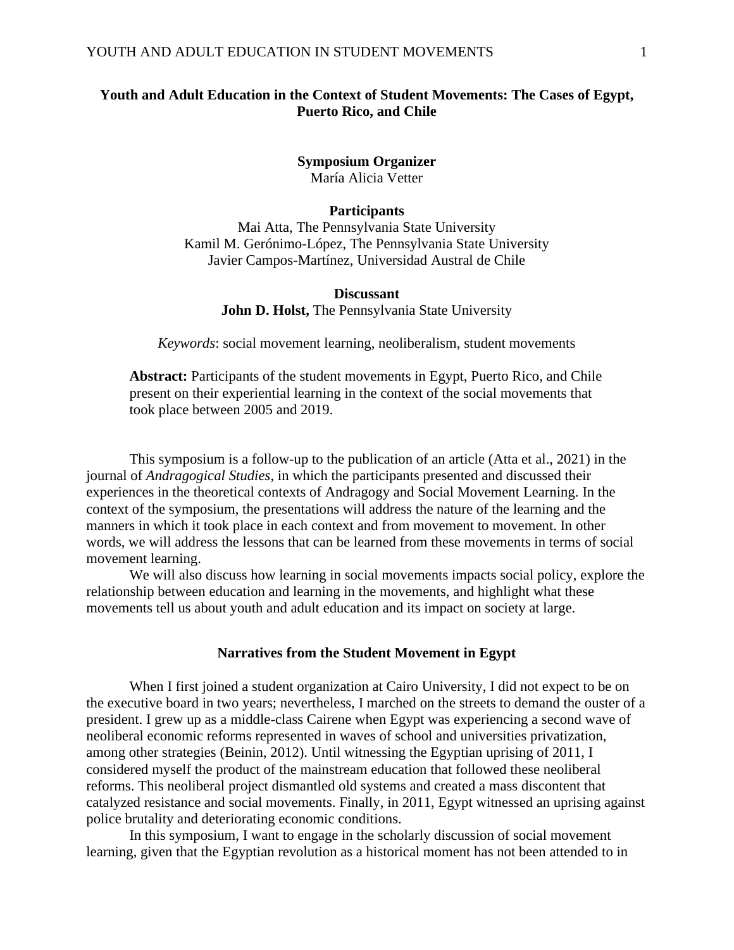# **Youth and Adult Education in the Context of Student Movements: The Cases of Egypt, Puerto Rico, and Chile**

**Symposium Organizer** María Alicia Vetter

#### **Participants**

Mai Atta, The Pennsylvania State University Kamil M. Gerónimo-López, The Pennsylvania State University Javier Campos-Martínez, Universidad Austral de Chile

#### **Discussant**

**John D. Holst,** The Pennsylvania State University

*Keywords*: social movement learning, neoliberalism, student movements

**Abstract:** Participants of the student movements in Egypt, Puerto Rico, and Chile present on their experiential learning in the context of the social movements that took place between 2005 and 2019.

This symposium is a follow-up to the publication of an article (Atta et al., 2021) in the journal of *Andragogical Studies*, in which the participants presented and discussed their experiences in the theoretical contexts of Andragogy and Social Movement Learning. In the context of the symposium, the presentations will address the nature of the learning and the manners in which it took place in each context and from movement to movement. In other words, we will address the lessons that can be learned from these movements in terms of social movement learning.

We will also discuss how learning in social movements impacts social policy, explore the relationship between education and learning in the movements, and highlight what these movements tell us about youth and adult education and its impact on society at large.

#### **Narratives from the Student Movement in Egypt**

When I first joined a student organization at Cairo University, I did not expect to be on the executive board in two years; nevertheless, I marched on the streets to demand the ouster of a president. I grew up as a middle-class Cairene when Egypt was experiencing a second wave of neoliberal economic reforms represented in waves of school and universities privatization, among other strategies (Beinin, 2012). Until witnessing the Egyptian uprising of 2011, I considered myself the product of the mainstream education that followed these neoliberal reforms. This neoliberal project dismantled old systems and created a mass discontent that catalyzed resistance and social movements. Finally, in 2011, Egypt witnessed an uprising against police brutality and deteriorating economic conditions.

In this symposium, I want to engage in the scholarly discussion of social movement learning, given that the Egyptian revolution as a historical moment has not been attended to in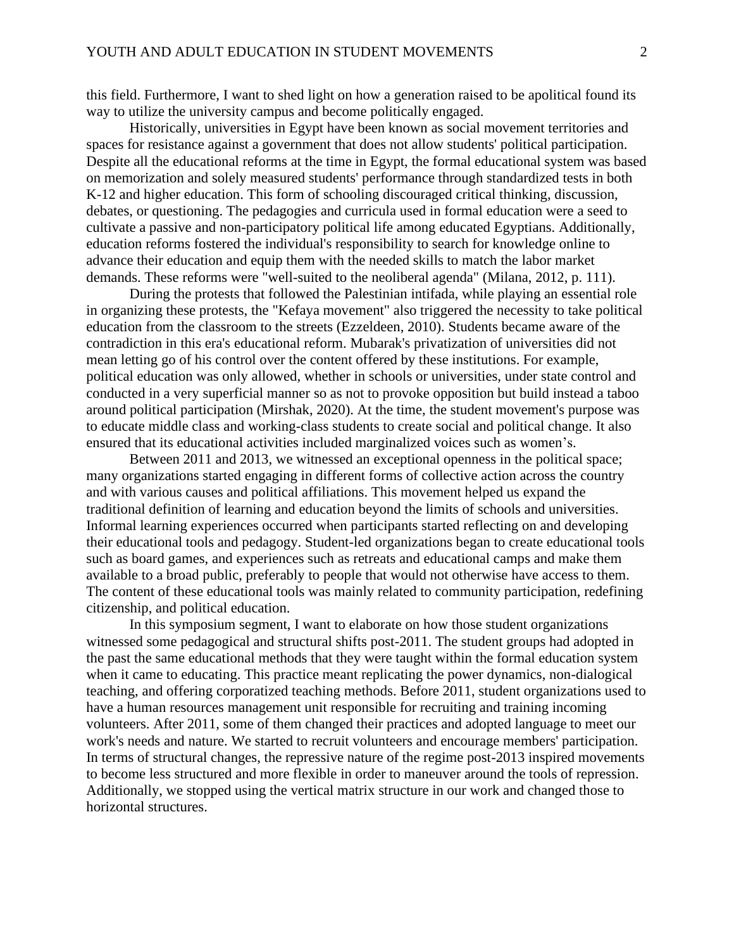this field. Furthermore, I want to shed light on how a generation raised to be apolitical found its way to utilize the university campus and become politically engaged.

Historically, universities in Egypt have been known as social movement territories and spaces for resistance against a government that does not allow students' political participation. Despite all the educational reforms at the time in Egypt, the formal educational system was based on memorization and solely measured students' performance through standardized tests in both K-12 and higher education. This form of schooling discouraged critical thinking, discussion, debates, or questioning. The pedagogies and curricula used in formal education were a seed to cultivate a passive and non-participatory political life among educated Egyptians. Additionally, education reforms fostered the individual's responsibility to search for knowledge online to advance their education and equip them with the needed skills to match the labor market demands. These reforms were "well-suited to the neoliberal agenda" (Milana, 2012, p. 111).

During the protests that followed the Palestinian intifada, while playing an essential role in organizing these protests, the "Kefaya movement" also triggered the necessity to take political education from the classroom to the streets (Ezzeldeen, 2010). Students became aware of the contradiction in this era's educational reform. Mubarak's privatization of universities did not mean letting go of his control over the content offered by these institutions. For example, political education was only allowed, whether in schools or universities, under state control and conducted in a very superficial manner so as not to provoke opposition but build instead a taboo around political participation (Mirshak, 2020). At the time, the student movement's purpose was to educate middle class and working-class students to create social and political change. It also ensured that its educational activities included marginalized voices such as women's.

Between 2011 and 2013, we witnessed an exceptional openness in the political space; many organizations started engaging in different forms of collective action across the country and with various causes and political affiliations. This movement helped us expand the traditional definition of learning and education beyond the limits of schools and universities. Informal learning experiences occurred when participants started reflecting on and developing their educational tools and pedagogy. Student-led organizations began to create educational tools such as board games, and experiences such as retreats and educational camps and make them available to a broad public, preferably to people that would not otherwise have access to them. The content of these educational tools was mainly related to community participation, redefining citizenship, and political education.

In this symposium segment, I want to elaborate on how those student organizations witnessed some pedagogical and structural shifts post-2011. The student groups had adopted in the past the same educational methods that they were taught within the formal education system when it came to educating. This practice meant replicating the power dynamics, non-dialogical teaching, and offering corporatized teaching methods. Before 2011, student organizations used to have a human resources management unit responsible for recruiting and training incoming volunteers. After 2011, some of them changed their practices and adopted language to meet our work's needs and nature. We started to recruit volunteers and encourage members' participation. In terms of structural changes, the repressive nature of the regime post-2013 inspired movements to become less structured and more flexible in order to maneuver around the tools of repression. Additionally, we stopped using the vertical matrix structure in our work and changed those to horizontal structures.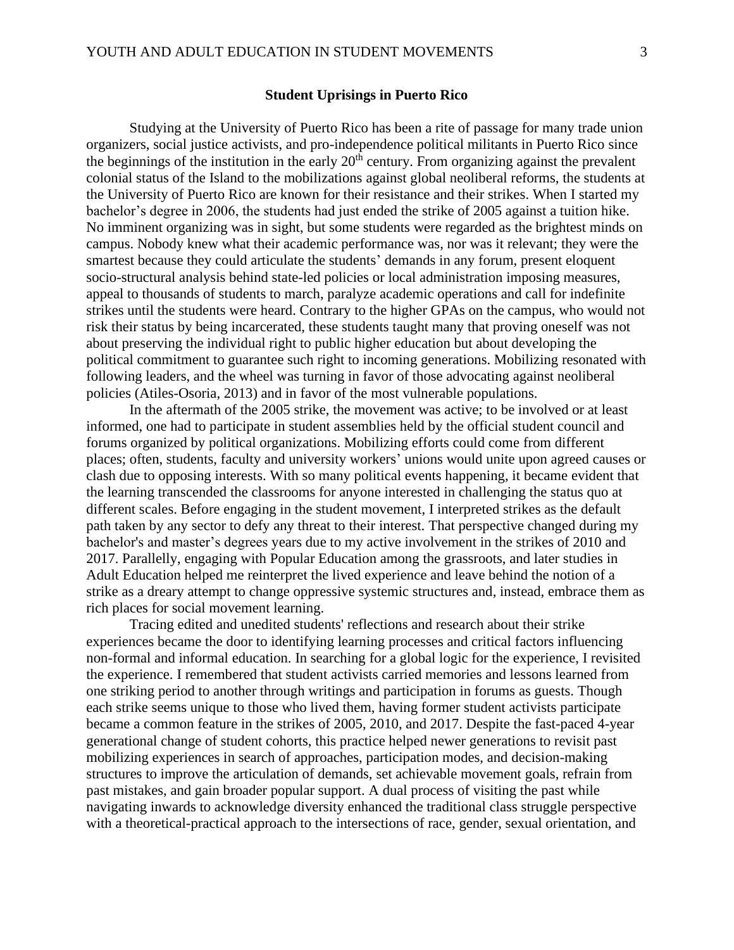#### **Student Uprisings in Puerto Rico**

Studying at the University of Puerto Rico has been a rite of passage for many trade union organizers, social justice activists, and pro-independence political militants in Puerto Rico since the beginnings of the institution in the early  $20<sup>th</sup>$  century. From organizing against the prevalent colonial status of the Island to the mobilizations against global neoliberal reforms, the students at the University of Puerto Rico are known for their resistance and their strikes. When I started my bachelor's degree in 2006, the students had just ended the strike of 2005 against a tuition hike. No imminent organizing was in sight, but some students were regarded as the brightest minds on campus. Nobody knew what their academic performance was, nor was it relevant; they were the smartest because they could articulate the students' demands in any forum, present eloquent socio-structural analysis behind state-led policies or local administration imposing measures, appeal to thousands of students to march, paralyze academic operations and call for indefinite strikes until the students were heard. Contrary to the higher GPAs on the campus, who would not risk their status by being incarcerated, these students taught many that proving oneself was not about preserving the individual right to public higher education but about developing the political commitment to guarantee such right to incoming generations. Mobilizing resonated with following leaders, and the wheel was turning in favor of those advocating against neoliberal policies (Atiles-Osoria, 2013) and in favor of the most vulnerable populations.

In the aftermath of the 2005 strike, the movement was active; to be involved or at least informed, one had to participate in student assemblies held by the official student council and forums organized by political organizations. Mobilizing efforts could come from different places; often, students, faculty and university workers' unions would unite upon agreed causes or clash due to opposing interests. With so many political events happening, it became evident that the learning transcended the classrooms for anyone interested in challenging the status quo at different scales. Before engaging in the student movement, I interpreted strikes as the default path taken by any sector to defy any threat to their interest. That perspective changed during my bachelor's and master's degrees years due to my active involvement in the strikes of 2010 and 2017. Parallelly, engaging with Popular Education among the grassroots, and later studies in Adult Education helped me reinterpret the lived experience and leave behind the notion of a strike as a dreary attempt to change oppressive systemic structures and, instead, embrace them as rich places for social movement learning.

Tracing edited and unedited students' reflections and research about their strike experiences became the door to identifying learning processes and critical factors influencing non-formal and informal education. In searching for a global logic for the experience, I revisited the experience. I remembered that student activists carried memories and lessons learned from one striking period to another through writings and participation in forums as guests. Though each strike seems unique to those who lived them, having former student activists participate became a common feature in the strikes of 2005, 2010, and 2017. Despite the fast-paced 4-year generational change of student cohorts, this practice helped newer generations to revisit past mobilizing experiences in search of approaches, participation modes, and decision-making structures to improve the articulation of demands, set achievable movement goals, refrain from past mistakes, and gain broader popular support. A dual process of visiting the past while navigating inwards to acknowledge diversity enhanced the traditional class struggle perspective with a theoretical-practical approach to the intersections of race, gender, sexual orientation, and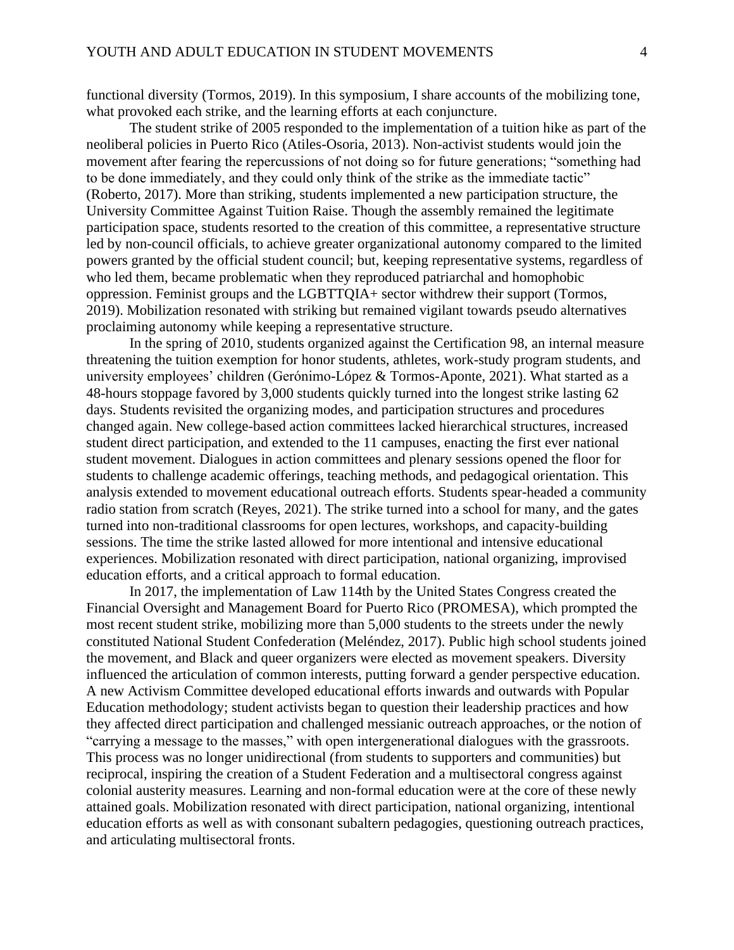functional diversity (Tormos, 2019). In this symposium, I share accounts of the mobilizing tone, what provoked each strike, and the learning efforts at each conjuncture.

The student strike of 2005 responded to the implementation of a tuition hike as part of the neoliberal policies in Puerto Rico (Atiles-Osoria, 2013). Non-activist students would join the movement after fearing the repercussions of not doing so for future generations; "something had to be done immediately, and they could only think of the strike as the immediate tactic" (Roberto, 2017). More than striking, students implemented a new participation structure, the University Committee Against Tuition Raise. Though the assembly remained the legitimate participation space, students resorted to the creation of this committee, a representative structure led by non-council officials, to achieve greater organizational autonomy compared to the limited powers granted by the official student council; but, keeping representative systems, regardless of who led them, became problematic when they reproduced patriarchal and homophobic oppression. Feminist groups and the LGBTTQIA+ sector withdrew their support (Tormos, 2019). Mobilization resonated with striking but remained vigilant towards pseudo alternatives proclaiming autonomy while keeping a representative structure.

In the spring of 2010, students organized against the Certification 98, an internal measure threatening the tuition exemption for honor students, athletes, work-study program students, and university employees' children (Gerónimo-López & Tormos-Aponte, 2021). What started as a 48-hours stoppage favored by 3,000 students quickly turned into the longest strike lasting 62 days. Students revisited the organizing modes, and participation structures and procedures changed again. New college-based action committees lacked hierarchical structures, increased student direct participation, and extended to the 11 campuses, enacting the first ever national student movement. Dialogues in action committees and plenary sessions opened the floor for students to challenge academic offerings, teaching methods, and pedagogical orientation. This analysis extended to movement educational outreach efforts. Students spear-headed a community radio station from scratch (Reyes, 2021). The strike turned into a school for many, and the gates turned into non-traditional classrooms for open lectures, workshops, and capacity-building sessions. The time the strike lasted allowed for more intentional and intensive educational experiences. Mobilization resonated with direct participation, national organizing, improvised education efforts, and a critical approach to formal education.

In 2017, the implementation of Law 114th by the United States Congress created the Financial Oversight and Management Board for Puerto Rico (PROMESA), which prompted the most recent student strike, mobilizing more than 5,000 students to the streets under the newly constituted National Student Confederation (Meléndez, 2017). Public high school students joined the movement, and Black and queer organizers were elected as movement speakers. Diversity influenced the articulation of common interests, putting forward a gender perspective education. A new Activism Committee developed educational efforts inwards and outwards with Popular Education methodology; student activists began to question their leadership practices and how they affected direct participation and challenged messianic outreach approaches, or the notion of "carrying a message to the masses," with open intergenerational dialogues with the grassroots. This process was no longer unidirectional (from students to supporters and communities) but reciprocal, inspiring the creation of a Student Federation and a multisectoral congress against colonial austerity measures. Learning and non-formal education were at the core of these newly attained goals. Mobilization resonated with direct participation, national organizing, intentional education efforts as well as with consonant subaltern pedagogies, questioning outreach practices, and articulating multisectoral fronts.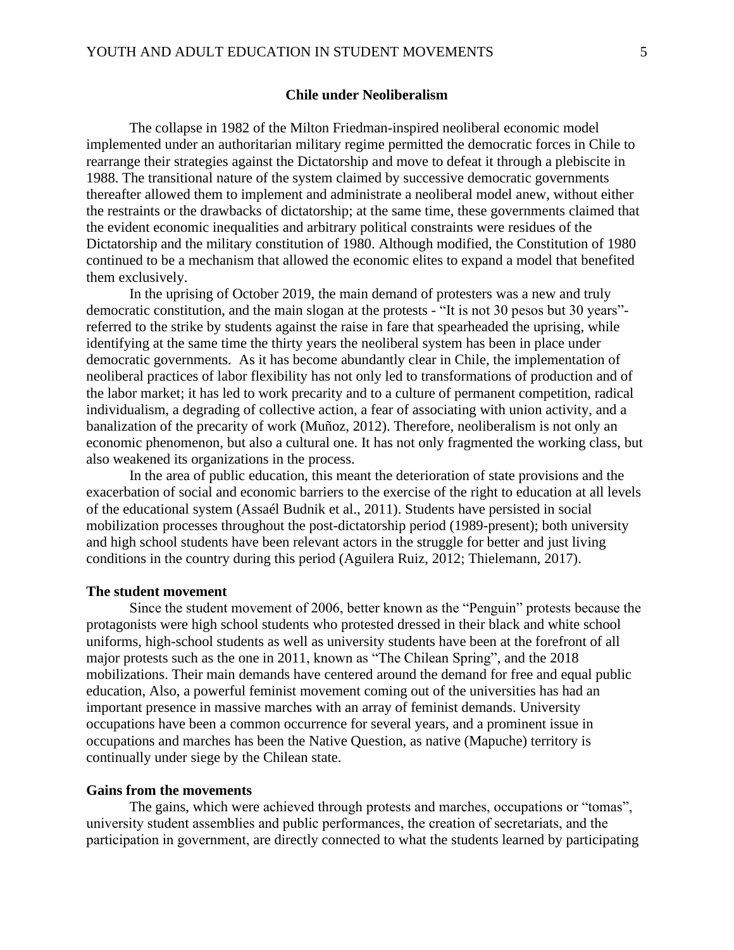#### **Chile under Neoliberalism**

The collapse in 1982 of the Milton Friedman-inspired neoliberal economic model implemented under an authoritarian military regime permitted the democratic forces in Chile to rearrange their strategies against the Dictatorship and move to defeat it through a plebiscite in 1988. The transitional nature of the system claimed by successive democratic governments thereafter allowed them to implement and administrate a neoliberal model anew, without either the restraints or the drawbacks of dictatorship; at the same time, these governments claimed that the evident economic inequalities and arbitrary political constraints were residues of the Dictatorship and the military constitution of 1980. Although modified, the Constitution of 1980 continued to be a mechanism that allowed the economic elites to expand a model that benefited them exclusively.

In the uprising of October 2019, the main demand of protesters was a new and truly democratic constitution, and the main slogan at the protests - "It is not 30 pesos but 30 years" referred to the strike by students against the raise in fare that spearheaded the uprising, while identifying at the same time the thirty years the neoliberal system has been in place under democratic governments. As it has become abundantly clear in Chile, the implementation of neoliberal practices of labor flexibility has not only led to transformations of production and of the labor market; it has led to work precarity and to a culture of permanent competition, radical individualism, a degrading of collective action, a fear of associating with union activity, and a banalization of the precarity of work (Muñoz, 2012). Therefore, neoliberalism is not only an economic phenomenon, but also a cultural one. It has not only fragmented the working class, but also weakened its organizations in the process.

In the area of public education, this meant the deterioration of state provisions and the exacerbation of social and economic barriers to the exercise of the right to education at all levels of the educational system (Assaél Budnik et al., 2011). Students have persisted in social mobilization processes throughout the post-dictatorship period (1989-present); both university and high school students have been relevant actors in the struggle for better and just living conditions in the country during this period (Aguilera Ruiz, 2012; Thielemann, 2017).

#### **The student movement**

Since the student movement of 2006, better known as the "Penguin" protests because the protagonists were high school students who protested dressed in their black and white school uniforms, high-school students as well as university students have been at the forefront of all major protests such as the one in 2011, known as "The Chilean Spring", and the 2018 mobilizations. Their main demands have centered around the demand for free and equal public education, Also, a powerful feminist movement coming out of the universities has had an important presence in massive marches with an array of feminist demands. University occupations have been a common occurrence for several years, and a prominent issue in occupations and marches has been the Native Question, as native (Mapuche) territory is continually under siege by the Chilean state.

#### **Gains from the movements**

The gains, which were achieved through protests and marches, occupations or "tomas", university student assemblies and public performances, the creation of secretariats, and the participation in government, are directly connected to what the students learned by participating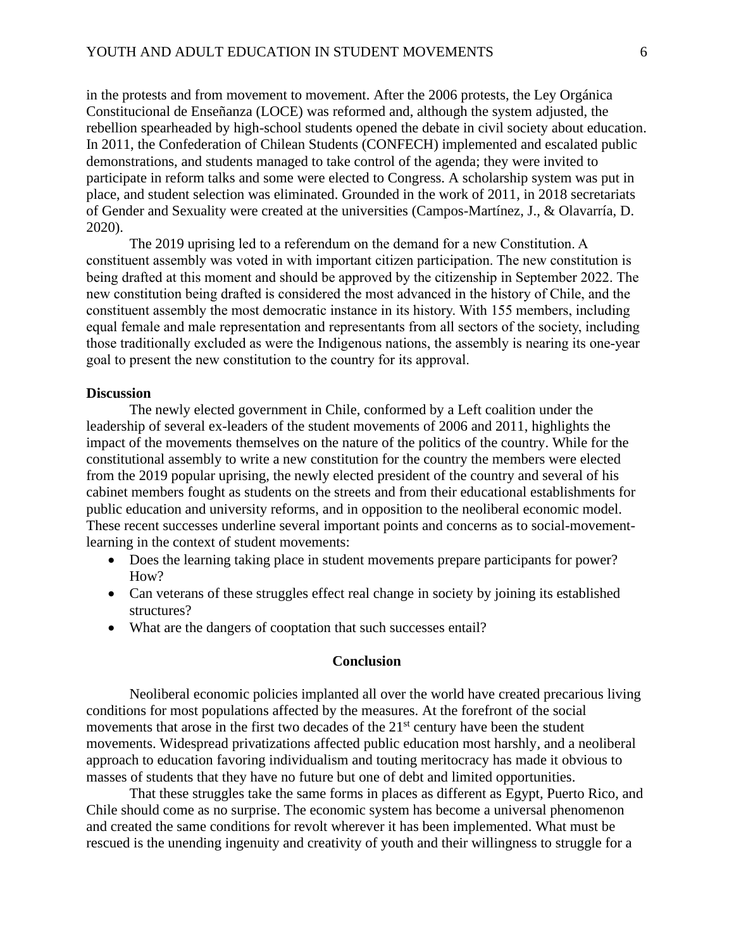in the protests and from movement to movement. After the 2006 protests, the Ley Orgánica Constitucional de Enseñanza (LOCE) was reformed and, although the system adjusted, the rebellion spearheaded by high-school students opened the debate in civil society about education. In 2011, the Confederation of Chilean Students (CONFECH) implemented and escalated public demonstrations, and students managed to take control of the agenda; they were invited to participate in reform talks and some were elected to Congress. A scholarship system was put in place, and student selection was eliminated. Grounded in the work of 2011, in 2018 secretariats of Gender and Sexuality were created at the universities (Campos-Martínez, J., & Olavarría, D. 2020).

The 2019 uprising led to a referendum on the demand for a new Constitution. A constituent assembly was voted in with important citizen participation. The new constitution is being drafted at this moment and should be approved by the citizenship in September 2022. The new constitution being drafted is considered the most advanced in the history of Chile, and the constituent assembly the most democratic instance in its history. With 155 members, including equal female and male representation and representants from all sectors of the society, including those traditionally excluded as were the Indigenous nations, the assembly is nearing its one-year goal to present the new constitution to the country for its approval.

#### **Discussion**

The newly elected government in Chile, conformed by a Left coalition under the leadership of several ex-leaders of the student movements of 2006 and 2011, highlights the impact of the movements themselves on the nature of the politics of the country. While for the constitutional assembly to write a new constitution for the country the members were elected from the 2019 popular uprising, the newly elected president of the country and several of his cabinet members fought as students on the streets and from their educational establishments for public education and university reforms, and in opposition to the neoliberal economic model. These recent successes underline several important points and concerns as to social-movementlearning in the context of student movements:

- Does the learning taking place in student movements prepare participants for power? How?
- Can veterans of these struggles effect real change in society by joining its established structures?
- What are the dangers of cooptation that such successes entail?

### **Conclusion**

Neoliberal economic policies implanted all over the world have created precarious living conditions for most populations affected by the measures. At the forefront of the social movements that arose in the first two decades of the  $21<sup>st</sup>$  century have been the student movements. Widespread privatizations affected public education most harshly, and a neoliberal approach to education favoring individualism and touting meritocracy has made it obvious to masses of students that they have no future but one of debt and limited opportunities.

That these struggles take the same forms in places as different as Egypt, Puerto Rico, and Chile should come as no surprise. The economic system has become a universal phenomenon and created the same conditions for revolt wherever it has been implemented. What must be rescued is the unending ingenuity and creativity of youth and their willingness to struggle for a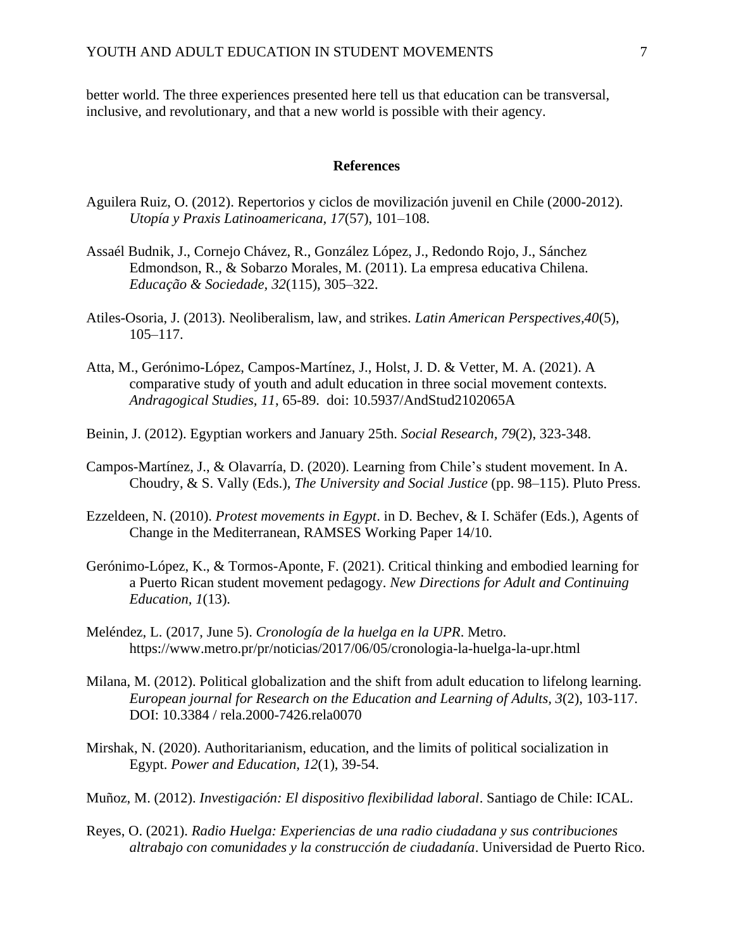better world. The three experiences presented here tell us that education can be transversal, inclusive, and revolutionary, and that a new world is possible with their agency.

#### **References**

- Aguilera Ruiz, O. (2012). Repertorios y ciclos de movilización juvenil en Chile (2000-2012). *Utopía y Praxis Latinoamericana, 17*(57), 101–108.
- Assaél Budnik, J., Cornejo Chávez, R., González López, J., Redondo Rojo, J., Sánchez Edmondson, R., & Sobarzo Morales, M. (2011). La empresa educativa Chilena. *Educação & Sociedade, 32*(115), 305–322.
- Atiles-Osoria, J. (2013). Neoliberalism, law, and strikes. *Latin American Perspectives,40*(5), 105–117.
- Atta, M., Gerónimo-López, Campos-Martínez, J., Holst, J. D. & Vetter, M. A. (2021). A comparative study of youth and adult education in three social movement contexts. *Andragogical Studies, 11*, 65-89. doi: 10.5937/AndStud2102065A
- Beinin, J. (2012). Egyptian workers and January 25th. *Social Research, 79*(2), 323-348.
- Campos-Martínez, J., & Olavarría, D. (2020). Learning from Chile's student movement. In A. Choudry, & S. Vally (Eds.), *The University and Social Justice* (pp. 98–115). Pluto Press.
- Ezzeldeen, N. (2010). *Protest movements in Egypt*. in D. Bechev, & I. Schäfer (Eds.), Agents of Change in the Mediterranean, RAMSES Working Paper 14/10.
- Gerónimo-López, K., & Tormos-Aponte, F. (2021). Critical thinking and embodied learning for a Puerto Rican student movement pedagogy. *New Directions for Adult and Continuing Education, 1*(13).
- Meléndez, L. (2017, June 5). *Cronología de la huelga en la UPR*. Metro. https://www.metro.pr/pr/noticias/2017/06/05/cronologia-la-huelga-la-upr.html
- Milana, M. (2012). Political globalization and the shift from adult education to lifelong learning. *European journal for Research on the Education and Learning of Adults, 3*(2), 103-117. DOI: 10.3384 / rela.2000-7426.rela0070
- Mirshak, N. (2020). Authoritarianism, education, and the limits of political socialization in Egypt. *Power and Education, 12*(1), 39-54.
- Muñoz, M. (2012). *Investigación: El dispositivo flexibilidad laboral*. Santiago de Chile: ICAL.
- Reyes, O. (2021). *Radio Huelga: Experiencias de una radio ciudadana y sus contribuciones altrabajo con comunidades y la construcción de ciudadanía*. Universidad de Puerto Rico.